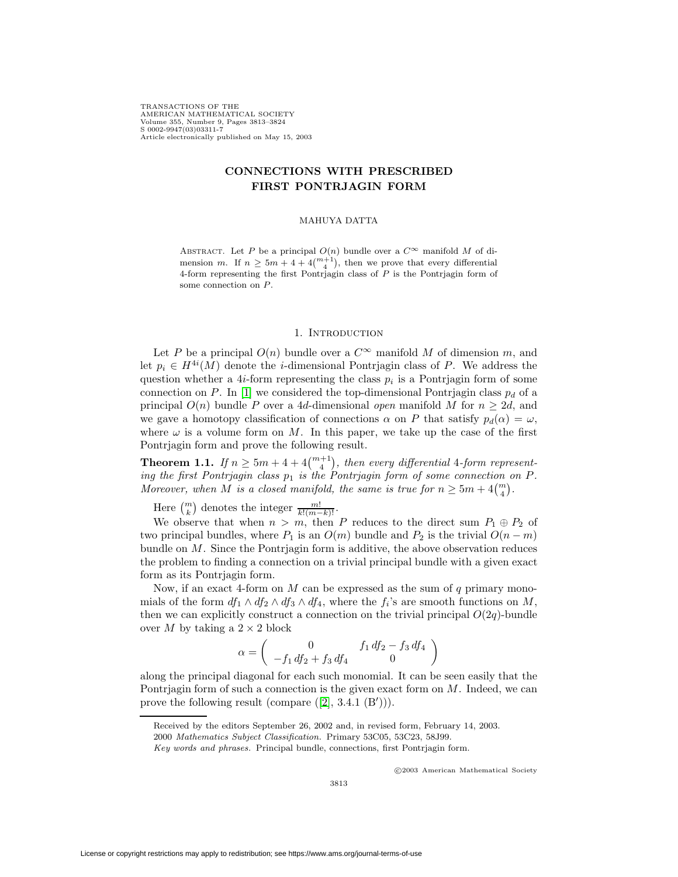TRANSACTIONS OF THE AMERICAN MATHEMATICAL SOCIETY Volume 355, Number 9, Pages 3813–3824 S 0002-9947(03)03311-7 Article electronically published on May 15, 2003

# **CONNECTIONS WITH PRESCRIBED FIRST PONTRJAGIN FORM**

#### MAHUYA DATTA

ABSTRACT. Let P be a principal  $O(n)$  bundle over a  $C^{\infty}$  manifold M of dimension m. If  $n \geq 5m + 4 + 4\binom{m+1}{4}$ , then we prove that every differential 4-form representing the first Pontrjagin class of P is the Pontrjagin form of some connection on P.

#### 1. INTRODUCTION

Let P be a principal  $O(n)$  bundle over a  $C^{\infty}$  manifold M of dimension m, and let  $p_i \in H^{4i}(M)$  denote the *i*-dimensional Pontrjagin class of P. We address the question whether a 4*i*-form representing the class  $p_i$  is a Pontriagin form of some connection on P. In [\[1\]](#page-11-0) we considered the top-dimensional Pontriagin class  $p_d$  of a principal  $O(n)$  bundle P over a 4d-dimensional open manifold M for  $n \geq 2d$ , and we gave a homotopy classification of connections  $\alpha$  on P that satisfy  $p_d(\alpha) = \omega$ , where  $\omega$  is a volume form on M. In this paper, we take up the case of the first Pontrjagin form and prove the following result.

**Theorem 1.1.** If  $n \geq 5m + 4 + 4\binom{m+1}{4}$ , then every differential 4-form representing the first Pontrjagin class  $p_1$  is the Pontrjagin form of some connection on  $P$ . Moreover, when M is a closed manifold, the same is true for  $n \geq 5m + 4{m \choose 4}$ .

Here  $\binom{m}{k}$  denotes the integer  $\frac{m!}{k!(m-k)!}$ .

We observe that when  $n>m$ , then P reduces to the direct sum  $P_1 \oplus P_2$  of two principal bundles, where  $P_1$  is an  $O(m)$  bundle and  $P_2$  is the trivial  $O(n-m)$ bundle on  $M$ . Since the Pontrjagin form is additive, the above observation reduces the problem to finding a connection on a trivial principal bundle with a given exact form as its Pontrjagin form.

Now, if an exact 4-form on  $M$  can be expressed as the sum of  $q$  primary monomials of the form  $df_1 \wedge df_2 \wedge df_3 \wedge df_4$ , where the  $f_i$ 's are smooth functions on M, then we can explicitly construct a connection on the trivial principal  $O(2q)$ -bundle over M by taking a  $2 \times 2$  block

$$
\alpha = \begin{pmatrix} 0 & f_1 df_2 - f_3 df_4 \\ -f_1 df_2 + f_3 df_4 & 0 \end{pmatrix}
$$

<span id="page-0-0"></span>along the principal diagonal for each such monomial. It can be seen easily that the Pontrjagin form of such a connection is the given exact form on M. Indeed, we can prove the following result (compare  $([2], 3.4.1 \cdot (B'))$  $([2], 3.4.1 \cdot (B'))$  $([2], 3.4.1 \cdot (B'))$ ).

c 2003 American Mathematical Society

Received by the editors September 26, 2002 and, in revised form, February 14, 2003.

<sup>2000</sup> Mathematics Subject Classification. Primary 53C05, 53C23, 58J99.

Key words and phrases. Principal bundle, connections, first Pontrjagin form.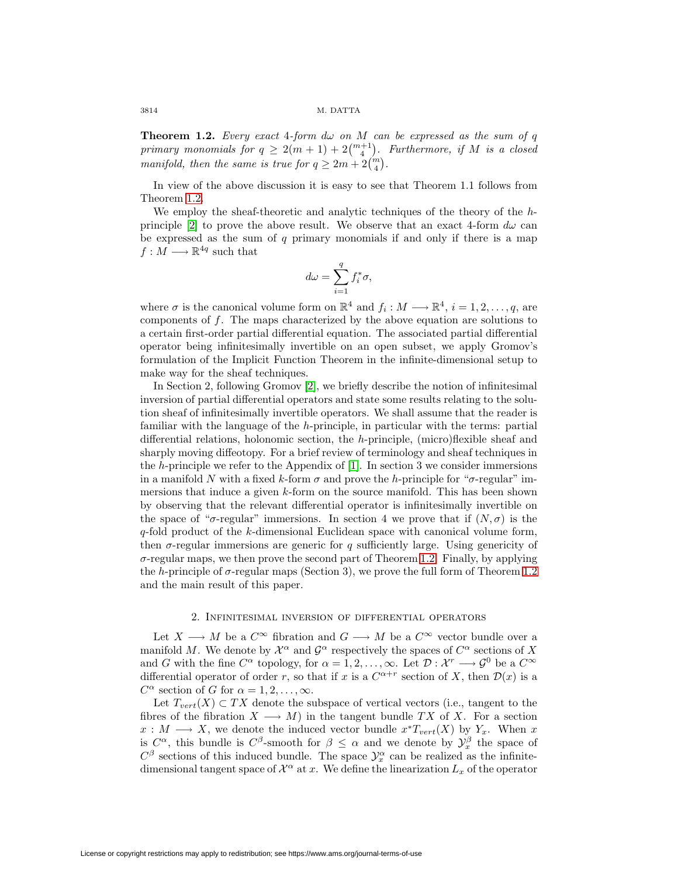**Theorem 1.2.** Every exact 4-form  $d\omega$  on M can be expressed as the sum of q primary monomials for  $q \geq 2(m+1) + 2{m+1 \choose 4}$ . Furthermore, if M is a closed manifold, then the same is true for  $q \geq 2m + 2{m \choose 4}$ .

In view of the above discussion it is easy to see that Theorem 1.1 follows from Theorem [1.2.](#page-0-0)

We employ the sheaf-theoretic and analytic techniques of the theory of the h-principle [\[2\]](#page-11-1) to prove the above result. We observe that an exact 4-form  $d\omega$  can be expressed as the sum of  $q$  primary monomials if and only if there is a map  $f: M \longrightarrow \mathbb{R}^{4q}$  such that

$$
d\omega = \sum_{i=1}^{q} f_i^* \sigma,
$$

where  $\sigma$  is the canonical volume form on  $\mathbb{R}^4$  and  $f_i : M \longrightarrow \mathbb{R}^4$ ,  $i = 1, 2, ..., q$ , are components of  $f$ . The maps characterized by the above equation are solutions to a certain first-order partial differential equation. The associated partial differential operator being infinitesimally invertible on an open subset, we apply Gromov's formulation of the Implicit Function Theorem in the infinite-dimensional setup to make way for the sheaf techniques.

In Section 2, following Gromov [\[2\]](#page-11-1), we briefly describe the notion of infinitesimal inversion of partial differential operators and state some results relating to the solution sheaf of infinitesimally invertible operators. We shall assume that the reader is familiar with the language of the h-principle, in particular with the terms: partial differential relations, holonomic section, the h-principle, (micro)flexible sheaf and sharply moving diffeotopy. For a brief review of terminology and sheaf techniques in the h-principle we refer to the Appendix of [\[1\]](#page-11-0). In section 3 we consider immersions in a manifold N with a fixed k-form  $\sigma$  and prove the h-principle for " $\sigma$ -regular" immersions that induce a given  $k$ -form on the source manifold. This has been shown by observing that the relevant differential operator is infinitesimally invertible on the space of " $\sigma$ -regular" immersions. In section 4 we prove that if  $(N, \sigma)$  is the  $q$ -fold product of the k-dimensional Euclidean space with canonical volume form, then  $\sigma$ -regular immersions are generic for q sufficiently large. Using genericity of  $\sigma$ -regular maps, we then prove the second part of Theorem [1.2.](#page-0-0) Finally, by applying the h-principle of  $\sigma$ -regular maps (Section 3), we prove the full form of Theorem [1.2](#page-0-0) and the main result of this paper.

### 2. Infinitesimal inversion of differential operators

Let  $X \longrightarrow M$  be a  $C^{\infty}$  fibration and  $G \longrightarrow M$  be a  $C^{\infty}$  vector bundle over a manifold M. We denote by  $\mathcal{X}^{\alpha}$  and  $\mathcal{G}^{\alpha}$  respectively the spaces of  $C^{\alpha}$  sections of X and G with the fine  $C^{\alpha}$  topology, for  $\alpha = 1, 2, \ldots, \infty$ . Let  $\mathcal{D}: \mathcal{X}^r \longrightarrow \mathcal{G}^0$  be a  $C^{\infty}$ differential operator of order r, so that if x is a  $C^{\alpha+r}$  section of X, then  $\mathcal{D}(x)$  is a  $C^{\alpha}$  section of G for  $\alpha = 1, 2, \ldots, \infty$ .

Let  $T_{vert}(X) \subset TX$  denote the subspace of vertical vectors (i.e., tangent to the fibres of the fibration  $X \longrightarrow M$ ) in the tangent bundle TX of X. For a section  $x : M \longrightarrow X$ , we denote the induced vector bundle  $x^*T_{vert}(X)$  by  $Y_x$ . When x is  $C^{\alpha}$ , this bundle is  $C^{\beta}$ -smooth for  $\beta \leq \alpha$  and we denote by  $\mathcal{Y}_{x}^{\beta}$  the space of  $C^{\beta}$  sections of this induced bundle. The space  $\mathcal{Y}_{x}^{\alpha}$  can be realized as the infinitedimensional tangent space of  $\mathcal{X}^{\alpha}$  at x. We define the linearization  $L_x$  of the operator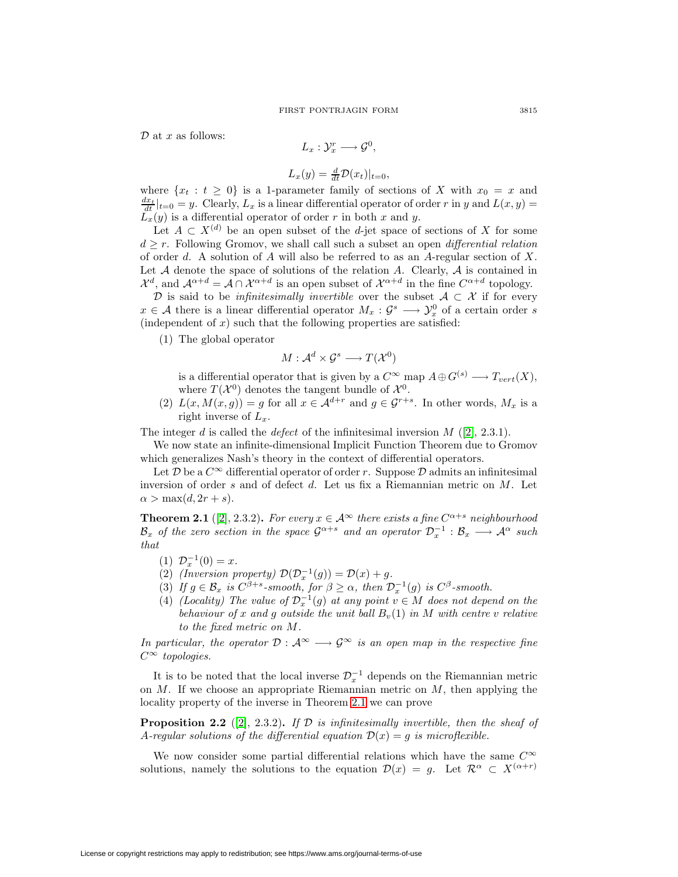$\mathcal D$  at x as follows:

$$
L_x: \mathcal{Y}_x^r \longrightarrow \mathcal{G}^0,
$$

$$
L_x(y) = \frac{d}{dt} \mathcal{D}(x_t)|_{t=0},
$$

where  $\{x_t : t \geq 0\}$  is a 1-parameter family of sections of X with  $x_0 = x$  and  $\frac{dx_t}{dt}|_{t=0} = y$ . Clearly,  $L_x$  is a linear differential operator of order r in y and  $L(x, y) =$  $\overline{L_x}(y)$  is a differential operator of order r in both x and y.

Let  $A \subset X^{(d)}$  be an open subset of the d-jet space of sections of X for some  $d \geq r$ . Following Gromov, we shall call such a subset an open *differential relation* of order d. A solution of A will also be referred to as an A-regular section of X. Let  $A$  denote the space of solutions of the relation  $A$ . Clearly,  $A$  is contained in  $\mathcal{X}^d$ , and  $\mathcal{A}^{\alpha+d} = \mathcal{A} \cap \mathcal{X}^{\alpha+d}$  is an open subset of  $\mathcal{X}^{\alpha+d}$  in the fine  $C^{\alpha+d}$  topology.

D is said to be *infinitesimally invertible* over the subset  $A \subset \mathcal{X}$  if for every  $x \in \mathcal{A}$  there is a linear differential operator  $M_x : \mathcal{G}^s \longrightarrow \mathcal{Y}^0_x$  of a certain order s (independent of  $x$ ) such that the following properties are satisfied:

(1) The global operator

$$
M:\mathcal{A}^d\times\mathcal{G}^s\longrightarrow T(\mathcal{X}^0)
$$

is a differential operator that is given by a  $C^{\infty}$  map  $A \oplus G^{(s)} \longrightarrow T_{vert}(X)$ , where  $T(X^0)$  denotes the tangent bundle of  $X^0$ .

(2)  $L(x, M(x, g)) = g$  for all  $x \in \mathcal{A}^{d+r}$  and  $g \in \mathcal{G}^{r+s}$ . In other words,  $M_x$  is a right inverse of  $L_x$ .

The integer d is called the defect of the infinitesimal inversion  $M$  ([\[2\]](#page-11-1), 2.3.1).

We now state an infinite-dimensional Implicit Function Theorem due to Gromov which generalizes Nash's theory in the context of differential operators.

Let  $\mathcal D$  be a  $C^{\infty}$  differential operator of order r. Suppose  $\mathcal D$  admits an infinitesimal inversion of order s and of defect d. Let us fix a Riemannian metric on M. Let  $\alpha > \max(d, 2r + s).$ 

**Theorem 2.1** ([\[2\]](#page-11-1), 2.3.2)**.** For every  $x \in A^{\infty}$  there exists a fine  $C^{\alpha+s}$  neighbourhood  $B_x$  of the zero section in the space  $\mathcal{G}^{\alpha+s}$  and an operator  $\mathcal{D}_x^{-1}$  :  $B_x \longrightarrow \mathcal{A}^{\alpha}$  such that

- (1)  $\mathcal{D}_x^{-1}(0) = x$ .
- (2) (Inversion property)  $\mathcal{D}(\mathcal{D}_x^{-1}(g)) = \mathcal{D}(x) + g$ .
- (3) If  $g \in \mathcal{B}_x$  is  $C^{\beta+s}$ -smooth, for  $\beta \geq \alpha$ , then  $\mathcal{D}_x^{-1}(g)$  is  $C^{\beta}$ -smooth.
- (4) (Locality) The value of  $\mathcal{D}_x^{-1}(g)$  at any point  $v \in M$  does not depend on the behaviour of x and g outside the unit ball  $B_v(1)$  in M with centre v relative to the fixed metric on M.

<span id="page-2-0"></span>In particular, the operator  $\mathcal{D}: A^{\infty} \longrightarrow \mathcal{G}^{\infty}$  is an open map in the respective fine  $C^{\infty}$  topologies.

It is to be noted that the local inverse  $\mathcal{D}_x^{-1}$  depends on the Riemannian metric on  $M$ . If we choose an appropriate Riemannian metric on  $M$ , then applying the locality property of the inverse in Theorem [2.1](#page-2-0) we can prove

<span id="page-2-1"></span>**Proposition 2.2** ([\[2\]](#page-11-1), 2.3.2)**.** If  $D$  is infinitesimally invertible, then the sheaf of A-regular solutions of the differential equation  $\mathcal{D}(x) = g$  is microflexible.

We now consider some partial differential relations which have the same  $C^{\infty}$ solutions, namely the solutions to the equation  $\mathcal{D}(x) = g$ . Let  $\mathcal{R}^{\alpha} \subset X^{(\alpha+r)}$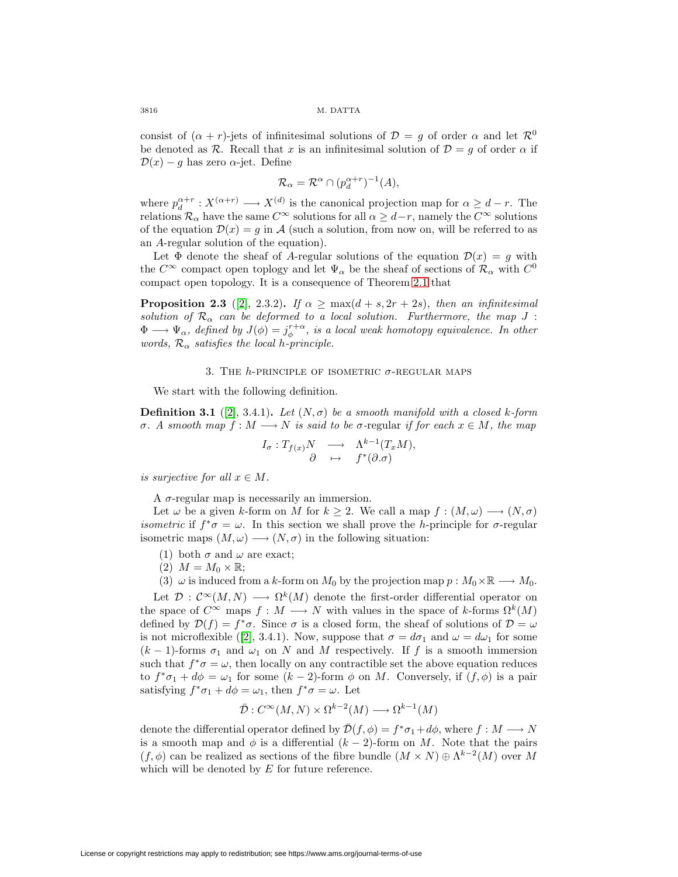consist of  $(\alpha + r)$ -jets of infinitesimal solutions of  $\mathcal{D} = q$  of order  $\alpha$  and let  $\mathcal{R}^0$ be denoted as R. Recall that x is an infinitesimal solution of  $\mathcal{D} = q$  of order  $\alpha$  if  $\mathcal{D}(x) - g$  has zero  $\alpha$ -jet. Define

$$
\mathcal{R}_{\alpha} = \mathcal{R}^{\alpha} \cap (p_d^{\alpha+r})^{-1}(A),
$$

where  $p_d^{\alpha+r} : X^{(\alpha+r)} \longrightarrow X^{(d)}$  is the canonical projection map for  $\alpha \geq d-r$ . The relations  $\mathcal{R}_{\alpha}$  have the same  $C^{\infty}$  solutions for all  $\alpha \geq d-r$ , namely the  $C^{\infty}$  solutions of the equation  $\mathcal{D}(x) = g$  in A (such a solution, from now on, will be referred to as an A-regular solution of the equation).

Let  $\Phi$  denote the sheaf of A-regular solutions of the equation  $\mathcal{D}(x) = g$  with the  $C^{\infty}$  compact open toplogy and let  $\Psi_{\alpha}$  be the sheaf of sections of  $\mathcal{R}_{\alpha}$  with  $C^0$ compact open topology. It is a consequence of Theorem [2.1](#page-2-0) that

<span id="page-3-0"></span>**Proposition 2.3** ([\[2\]](#page-11-1), 2.3.2). If  $\alpha \ge \max(d+s, 2r+2s)$ , then an infinitesimal solution of  $\mathcal{R}_{\alpha}$  can be deformed to a local solution. Furthermore, the map J:  $\Phi \longrightarrow \Psi_{\alpha}$ , defined by  $J(\phi) = j_{\phi}^{r+\alpha}$ , is a local weak homotopy equivalence. In other words,  $\mathcal{R}_{\alpha}$  satisfies the local h-principle.

### 3. THE  $h$ -principle of isometric  $\sigma$ -regular maps

We start with the following definition.

**Definition 3.1** ([\[2\]](#page-11-1), 3.4.1). Let  $(N, \sigma)$  be a smooth manifold with a closed k-form σ. A smooth map  $f : M \longrightarrow N$  is said to be σ-regular if for each  $x ∈ M$ , the map

$$
I_{\sigma}: T_{f(x)}N \longrightarrow \Lambda^{k-1}(T_xM),
$$
  

$$
\partial \longrightarrow f^*(\partial \sigma)
$$

is surjective for all  $x \in M$ .

A  $\sigma$ -regular map is necessarily an immersion.

Let  $\omega$  be a given k-form on M for  $k \geq 2$ . We call a map  $f : (M, \omega) \longrightarrow (N, \sigma)$ *isometric* if  $f^*\sigma = \omega$ . In this section we shall prove the h-principle for  $\sigma$ -regular isometric maps  $(M, \omega) \longrightarrow (N, \sigma)$  in the following situation:

- (1) both  $\sigma$  and  $\omega$  are exact;
- $(2)$   $M = M_0 \times \mathbb{R};$
- (3)  $\omega$  is induced from a k-form on  $M_0$  by the projection map  $p : M_0 \times \mathbb{R} \longrightarrow M_0$ .

Let  $\mathcal{D}: \mathcal{C}^{\infty}(M,N) \longrightarrow \Omega^k(M)$  denote the first-order differential operator on the space of  $C^{\infty}$  maps  $f : M \longrightarrow N$  with values in the space of k-forms  $\Omega^k(M)$ defined by  $\mathcal{D}(f) = f^* \sigma$ . Since  $\sigma$  is a closed form, the sheaf of solutions of  $\mathcal{D} = \omega$ is not microflexible ([\[2\]](#page-11-1), 3.4.1). Now, suppose that  $\sigma = d\sigma_1$  and  $\omega = d\omega_1$  for some  $(k-1)$ -forms  $\sigma_1$  and  $\omega_1$  on N and M respectively. If f is a smooth immersion such that  $f^*\sigma = \omega$ , then locally on any contractible set the above equation reduces to  $f^*\sigma_1 + d\phi = \omega_1$  for some  $(k-2)$ -form  $\phi$  on M. Conversely, if  $(f, \phi)$  is a pair satisfying  $f^*\sigma_1 + d\phi = \omega_1$ , then  $f^*\sigma = \omega$ . Let

$$
\bar{\mathcal{D}}: C^{\infty}(M, N) \times \Omega^{k-2}(M) \longrightarrow \Omega^{k-1}(M)
$$

denote the differential operator defined by  $\bar{\mathcal{D}}(f,\phi) = f^*\sigma_1 + d\phi$ , where  $f : M \longrightarrow N$ is a smooth map and  $\phi$  is a differential  $(k-2)$ -form on M. Note that the pairs  $(f, \phi)$  can be realized as sections of the fibre bundle  $(M \times N) \oplus \Lambda^{k-2}(M)$  over M which will be denoted by  $E$  for future reference.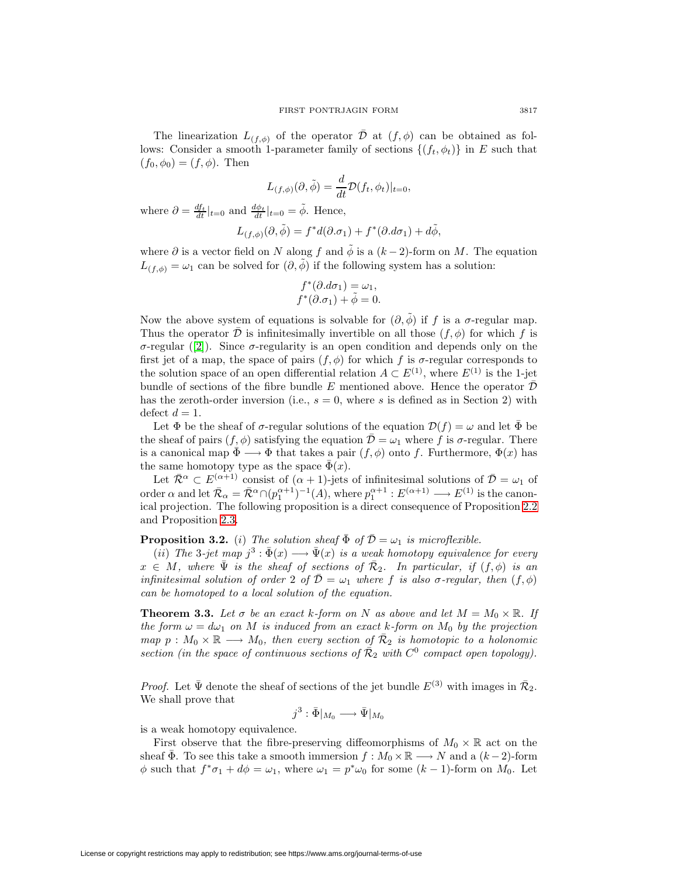The linearization  $L_{(f,\phi)}$  of the operator  $\overline{\mathcal{D}}$  at  $(f,\phi)$  can be obtained as follows: Consider a smooth 1-parameter family of sections  $\{(f_t, \phi_t)\}\$ in E such that  $(f_0, \phi_0) = (f, \phi)$ . Then

$$
L_{(f,\phi)}(\partial,\tilde{\phi}) = \frac{d}{dt} \mathcal{D}(f_t,\phi_t)|_{t=0},
$$

where  $\partial = \frac{df_t}{dt}|_{t=0}$  and  $\frac{d\phi_t}{dt}|_{t=0} = \tilde{\phi}$ . Hence,

$$
L_{(f,\phi)}(\partial,\tilde{\phi}) = f^*d(\partial.\sigma_1) + f^*(\partial.d\sigma_1) + d\tilde{\phi},
$$

where  $\partial$  is a vector field on N along f and  $\tilde{\phi}$  is a  $(k-2)$ -form on M. The equation  $L_{(f,\phi)} = \omega_1$  can be solved for  $(\partial,\phi)$  if the following system has a solution:

$$
f^*(\partial \Delta \sigma_1) = \omega_1,
$$
  

$$
f^*(\partial \Delta \sigma_1) + \tilde{\phi} = 0.
$$

Now the above system of equations is solvable for  $(\partial, \tilde{\phi})$  if f is a  $\sigma$ -regular map. Thus the operator  $\mathcal D$  is infinitesimally invertible on all those  $(f, \phi)$  for which f is σ-regular ([\[2\]](#page-11-1)). Since σ-regularity is an open condition and depends only on the first jet of a map, the space of pairs  $(f, \phi)$  for which f is  $\sigma$ -regular corresponds to the solution space of an open differential relation  $A \subset E^{(1)}$ , where  $E^{(1)}$  is the 1-jet bundle of sections of the fibre bundle E mentioned above. Hence the operator  $\bar{\mathcal{D}}$ has the zeroth-order inversion (i.e.,  $s = 0$ , where s is defined as in Section 2) with defect  $d = 1$ .

Let  $\Phi$  be the sheaf of  $\sigma$ -regular solutions of the equation  $\mathcal{D}(f) = \omega$  and let  $\overline{\Phi}$  be the sheaf of pairs  $(f, \phi)$  satisfying the equation  $\mathcal{D} = \omega_1$  where f is  $\sigma$ -regular. There is a canonical map  $\Phi \longrightarrow \Phi$  that takes a pair  $(f, \phi)$  onto f. Furthermore,  $\Phi(x)$  has the same homotopy type as the space  $\bar{\Phi}(x)$ .

Let  $\bar{\mathcal{R}}^{\alpha} \subset E^{(\alpha+1)}$  consist of  $(\alpha+1)$ -jets of infinitesimal solutions of  $\bar{\mathcal{D}} = \omega_1$  of order  $\alpha$  and let  $\bar{\mathcal{R}}_{\alpha} = \bar{\mathcal{R}}^{\alpha} \cap (p_1^{\alpha+1})^{-1}(A)$ , where  $p_1^{\alpha+1} : E^{(\alpha+1)} \longrightarrow E^{(1)}$  is the canonical projection. The following proposition is a direct consequence of Proposition [2.2](#page-2-1) and Proposition [2.3.](#page-3-0)

## <span id="page-4-0"></span>**Proposition 3.2.** (i) The solution sheaf  $\bar{\Phi}$  of  $\bar{\mathcal{D}} = \omega_1$  is microflexible.

(ii) The 3-jet map  $j^3 : \bar{\Phi}(x) \longrightarrow \bar{\Psi}(x)$  is a weak homotopy equivalence for every  $x \in M$ , where  $\bar{\Psi}$  is the sheaf of sections of  $\bar{\mathcal{R}}_2$ . In particular, if  $(f, \phi)$  is an infinitesimal solution of order 2 of  $\overline{\mathcal{D}} = \omega_1$  where f is also  $\sigma$ -regular, then  $(f, \phi)$ can be homotoped to a local solution of the equation.

<span id="page-4-1"></span>**Theorem 3.3.** Let  $\sigma$  be an exact k-form on N as above and let  $M = M_0 \times \mathbb{R}$ . If the form  $\omega = d\omega_1$  on M is induced from an exact k-form on  $M_0$  by the projection map  $p : M_0 \times \mathbb{R} \longrightarrow M_0$ , then every section of  $\mathcal{R}_2$  is homotopic to a holonomic section (in the space of continuous sections of  $\overline{\mathcal{R}}_2$  with  $C^0$  compact open topology).

*Proof.* Let  $\bar{\Psi}$  denote the sheaf of sections of the jet bundle  $E^{(3)}$  with images in  $\bar{\mathcal{R}}_2$ . We shall prove that

 $j^3 : \bar{\Phi}|_{M_0} \longrightarrow \bar{\Psi}|_{M_0}$ 

is a weak homotopy equivalence.

First observe that the fibre-preserving diffeomorphisms of  $M_0 \times \mathbb{R}$  act on the sheaf  $\Phi$ . To see this take a smooth immersion  $f : M_0 \times \mathbb{R} \longrightarrow N$  and a  $(k-2)$ -form  $\phi$  such that  $f^*\sigma_1 + d\phi = \omega_1$ , where  $\omega_1 = p^*\omega_0$  for some  $(k-1)$ -form on  $M_0$ . Let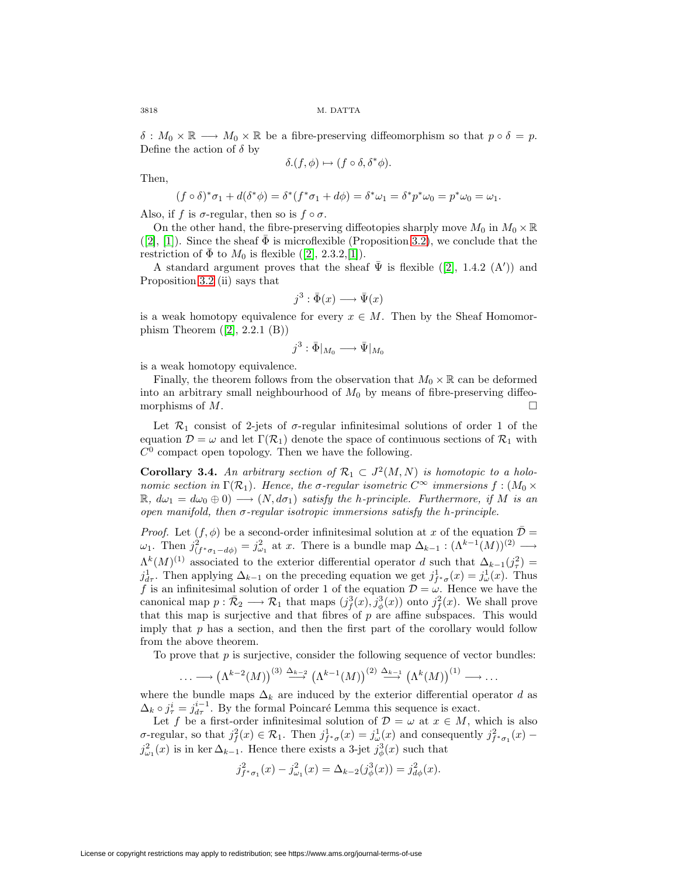3818 M. DATTA

 $\delta : M_0 \times \mathbb{R} \longrightarrow M_0 \times \mathbb{R}$  be a fibre-preserving diffeomorphism so that  $p \circ \delta = p$ . Define the action of  $\delta$  by

$$
\delta.(f, \phi) \mapsto (f \circ \delta, \delta^* \phi).
$$

Then,

$$
(f \circ \delta)^* \sigma_1 + d(\delta^* \phi) = \delta^* (f^* \sigma_1 + d\phi) = \delta^* \omega_1 = \delta^* p^* \omega_0 = p^* \omega_0 = \omega_1.
$$

Also, if f is  $\sigma$ -regular, then so is  $f \circ \sigma$ .

On the other hand, the fibre-preserving diffeotopies sharply move  $M_0$  in  $M_0 \times \mathbb{R}$  $([2], [1])$  $([2], [1])$  $([2], [1])$  $([2], [1])$  $([2], [1])$ . Since the sheaf  $\bar{\Phi}$  is microflexible (Proposition [3.2\)](#page-4-0), we conclude that the restriction of  $\bar{\Phi}$  to  $M_0$  is flexible ([\[2\]](#page-11-1), 2.3.2,[\[1\]](#page-11-0)).

A standard argument proves that the sheaf  $\bar{\Psi}$  is flexible ([\[2\]](#page-11-1), 1.4.2 (A')) and Proposition [3.2](#page-4-0) (ii) says that

$$
j^3 : \bar{\Phi}(x) \longrightarrow \bar{\Psi}(x)
$$

is a weak homotopy equivalence for every  $x \in M$ . Then by the Sheaf Homomorphism Theorem  $([2], 2.2.1$  $([2], 2.2.1$  $([2], 2.2.1$   $(B))$ 

$$
j^3:\bar{\Phi}|_{M_0}\longrightarrow \bar{\Psi}|_{M_0}
$$

is a weak homotopy equivalence.

Finally, the theorem follows from the observation that  $M_0 \times \mathbb{R}$  can be deformed into an arbitrary small neighbourhood of  $M_0$  by means of fibre-preserving diffeomorphisms of  $M$ .

Let  $\mathcal{R}_1$  consist of 2-jets of  $\sigma$ -regular infinitesimal solutions of order 1 of the equation  $\mathcal{D} = \omega$  and let  $\Gamma(\mathcal{R}_1)$  denote the space of continuous sections of  $\mathcal{R}_1$  with  $C^0$  compact open topology. Then we have the following.

**Corollary 3.4.** An arbitrary section of  $\mathcal{R}_1 \subset J^2(M,N)$  is homotopic to a holonomic section in  $\Gamma(\mathcal{R}_1)$ . Hence, the σ-regular isometric  $C^{\infty}$  immersions  $f:(M_0\times$  $\mathbb{R}, d\omega_1 = d\omega_0 \oplus 0$   $\longrightarrow (N, d\sigma_1)$  satisfy the h-principle. Furthermore, if M is an open manifold, then  $\sigma$ -regular isotropic immersions satisfy the h-principle.

*Proof.* Let  $(f, \phi)$  be a second-order infinitesimal solution at x of the equation  $\overline{\mathcal{D}} =$  $\omega_1$ . Then  $j_{(f^*\sigma_1-d\phi)}^2 = j_{\omega_1}^2$  at x. There is a bundle map  $\Delta_{k-1} : (\Lambda^{k-1}(M))^{(2)} \longrightarrow$  $\Lambda^k(M)^{(1)}$  associated to the exterior differential operator d such that  $\Delta_{k-1}(j^2) =$  $j_{d\tau}^1$ . Then applying  $\Delta_{k-1}$  on the preceding equation we get  $j_{f^*\sigma}^1(x) = j_{\omega}^1(x)$ . Thus f is an infinitesimal solution of order 1 of the equation  $\mathcal{D} = \omega$ . Hence we have the canonical map  $p: \bar{\mathcal{R}}_2 \longrightarrow \mathcal{R}_1$  that maps  $(j_f^3(x), j_\phi^3(x))$  onto  $j_f^2(x)$ . We shall prove that this map is surjective and that fibres of  $p$  are affine subspaces. This would imply that  $p$  has a section, and then the first part of the corollary would follow from the above theorem.

To prove that  $p$  is surjective, consider the following sequence of vector bundles:

$$
\ldots \longrightarrow (\Lambda^{k-2}(M))^{(3)} \stackrel{\Delta_{k-2}}{\longrightarrow} (\Lambda^{k-1}(M))^{(2)} \stackrel{\Delta_{k-1}}{\longrightarrow} (\Lambda^k(M))^{(1)} \longrightarrow \ldots
$$

where the bundle maps  $\Delta_k$  are induced by the exterior differential operator d as  $\Delta_k \circ j_\tau^i = j_{d\tau}^{i-1}$ . By the formal Poincaré Lemma this sequence is exact.

Let f be a first-order infinitesimal solution of  $\mathcal{D} = \omega$  at  $x \in M$ , which is also  $\sigma$ -regular, so that  $j_f^2(x) \in \mathcal{R}_1$ . Then  $j_{f^*\sigma}^1(x) = j_{\omega}^1(x)$  and consequently  $j_{f^*\sigma_1}^2(x)$  –  $j_{\omega_1}^2(x)$  is in ker  $\Delta_{k-1}$ . Hence there exists a 3-jet  $j_{\phi}^3(x)$  such that

$$
j_{f^*\sigma_1}^2(x) - j_{\omega_1}^2(x) = \Delta_{k-2}(j_{\phi}^3(x)) = j_{d_{\phi}}^2(x).
$$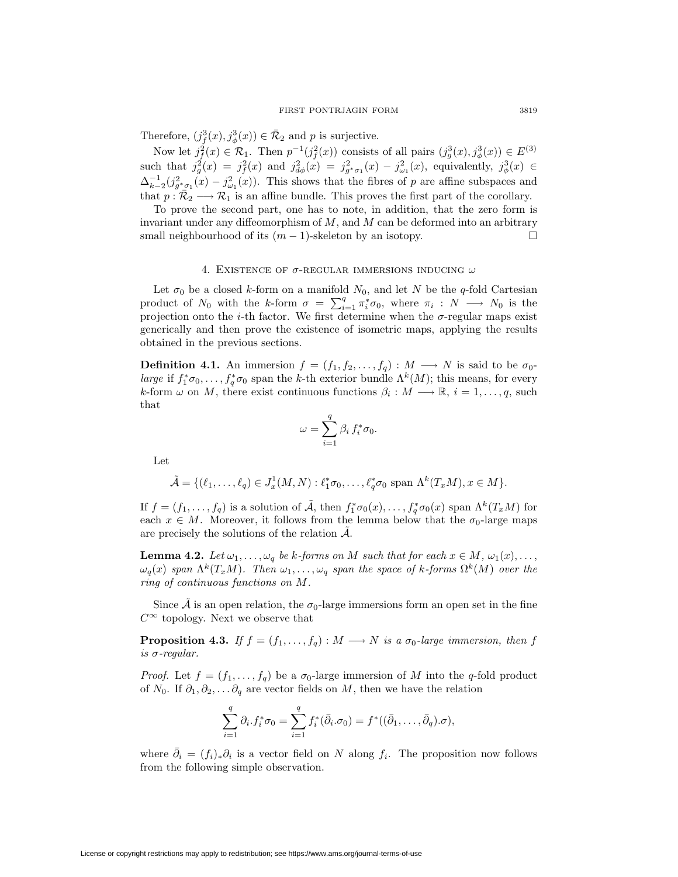Therefore,  $(j^3_f(x), j^3_\phi(x)) \in \overline{\mathcal{R}}_2$  and p is surjective.

Now let  $j_f^2(x) \in \mathcal{R}_1$ . Then  $p^{-1}(j_f^2(x))$  consists of all pairs  $(j_g^3(x), j_\phi^3(x)) \in E^{(3)}$ such that  $j_g^2(x) = j_f^2(x)$  and  $j_{d\phi}^2(x) = j_{g^*\sigma_1}^2(x) - j_{\omega_1}^2(x)$ , equivalently,  $j_{\phi}^3(x) \in$  $\Delta_{k-2}^{-1}(j_{g^*\sigma_1}^2(x) - j_{\omega_1}^2(x))$ . This shows that the fibres of p are affine subspaces and that  $p : \bar{R}_2 \longrightarrow \mathcal{R}_1$  is an affine bundle. This proves the first part of the corollary.

To prove the second part, one has to note, in addition, that the zero form is invariant under any diffeomorphism of  $M$ , and  $M$  can be deformed into an arbitrary small neighbourhood of its  $(m-1)$ -skeleton by an isotopy.

### 4. EXISTENCE OF  $\sigma$ -REGULAR IMMERSIONS INDUCING  $\omega$

Let  $\sigma_0$  be a closed k-form on a manifold  $N_0$ , and let N be the q-fold Cartesian product of  $N_0$  with the k-form  $\sigma = \sum_{i=1}^q \pi_i^* \sigma_0$ , where  $\pi_i : N \longrightarrow N_0$  is the projection onto the *i*-th factor. We first determine when the  $\sigma$ -regular maps exist generically and then prove the existence of isometric maps, applying the results obtained in the previous sections.

**Definition 4.1.** An immersion  $f = (f_1, f_2, \ldots, f_q) : M \longrightarrow N$  is said to be  $\sigma_0$ large if  $f_1^*\sigma_0,\ldots,f_q^*\sigma_0$  span the k-th exterior bundle  $\Lambda^k(M)$ ; this means, for every k-form  $\omega$  on M, there exist continuous functions  $\beta_i : M \longrightarrow \mathbb{R}, i = 1, \ldots, q$ , such that

$$
\omega = \sum_{i=1}^q \beta_i f_i^* \sigma_0.
$$

Let

$$
\tilde{\mathcal{A}} = \{(\ell_1, \ldots, \ell_q) \in J_x^1(M, N) : \ell_1^* \sigma_0, \ldots, \ell_q^* \sigma_0 \text{ span } \Lambda^k(T_x M), x \in M\}.
$$

If  $f = (f_1, \ldots, f_q)$  is a solution of  $\tilde{A}$ , then  $f_1^* \sigma_0(x), \ldots, f_q^* \sigma_0(x)$  span  $\Lambda^k(T_x M)$  for each  $x \in M$ . Moreover, it follows from the lemma below that the  $\sigma_0$ -large maps are precisely the solutions of the relation  $A$ .

**Lemma 4.2.** Let  $\omega_1, \ldots, \omega_q$  be k-forms on M such that for each  $x \in M$ ,  $\omega_1(x), \ldots$ ,  $\omega_q(x)$  span  $\Lambda^k(T_xM)$ . Then  $\omega_1,\ldots,\omega_q$  span the space of k-forms  $\Omega^k(M)$  over the ring of continuous functions on M.

Since A is an open relation, the  $\sigma_0$ -large immersions form an open set in the fine  $C^{\infty}$  topology. Next we observe that

**Proposition 4.3.** If  $f = (f_1, \ldots, f_q) : M \longrightarrow N$  is a  $\sigma_0$ -large immersion, then f is σ-regular.

*Proof.* Let  $f = (f_1, \ldots, f_q)$  be a  $\sigma_0$ -large immersion of M into the q-fold product of  $N_0$ . If  $\partial_1, \partial_2, \ldots \partial_q$  are vector fields on M, then we have the relation

$$
\sum_{i=1}^q \partial_i f_i^* \sigma_0 = \sum_{i=1}^q f_i^* (\bar{\partial}_i \sigma_0) = f^* ((\bar{\partial}_1, \dots, \bar{\partial}_q) \sigma),
$$

where  $\bar{\partial}_i = (f_i)_*\partial_i$  is a vector field on N along  $f_i$ . The proposition now follows from the following simple observation.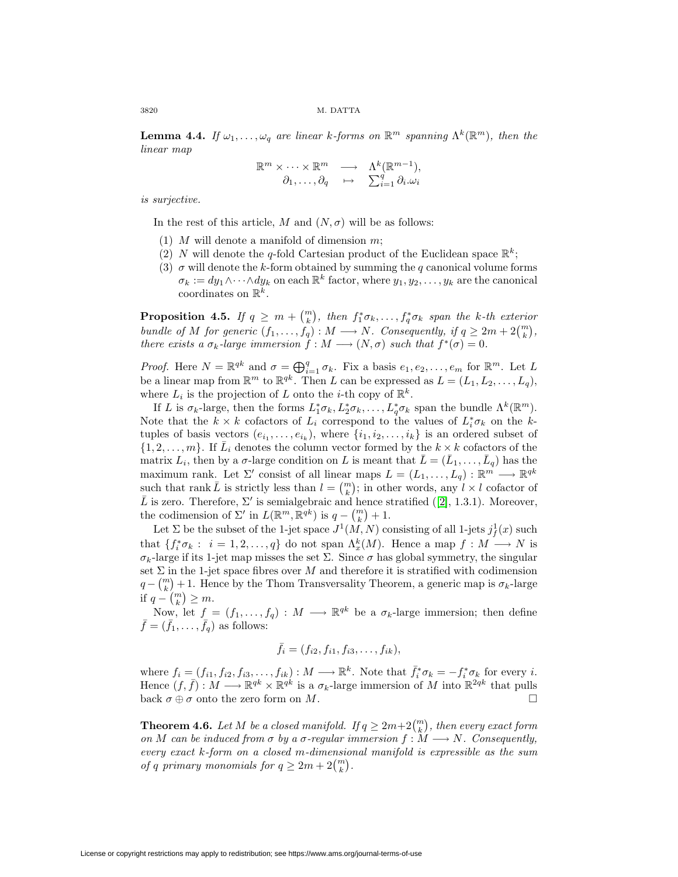**Lemma 4.4.** If  $\omega_1, \ldots, \omega_q$  are linear k-forms on  $\mathbb{R}^m$  spanning  $\Lambda^k(\mathbb{R}^m)$ , then the linear map

$$
\mathbb{R}^m \times \cdots \times \mathbb{R}^m \longrightarrow \Lambda^k(\mathbb{R}^{m-1}),
$$
  

$$
\partial_1, \ldots, \partial_q \mapsto \sum_{i=1}^q \partial_i \omega_i
$$

is surjective.

In the rest of this article, M and  $(N, \sigma)$  will be as follows:

- (1)  $M$  will denote a manifold of dimension  $m$ ;
- (2) N will denote the q-fold Cartesian product of the Euclidean space  $\mathbb{R}^k$ ;
- (3)  $\sigma$  will denote the k-form obtained by summing the q canonical volume forms  $\sigma_k := dy_1 \wedge \cdots \wedge dy_k$  on each  $\mathbb{R}^k$  factor, where  $y_1, y_2, \ldots, y_k$  are the canonical coordinates on  $\mathbb{R}^k$ .

<span id="page-7-0"></span>**Proposition 4.5.** If  $q \geq m + {m \choose k}$ , then  $f_1^* \sigma_k, \ldots, f_q^* \sigma_k$  span the k-th exterior bundle of M for generic  $(f_1, \ldots, f_q) : M \longrightarrow N$ . Consequently, if  $q \geq 2m + 2{m \choose k}$ , there exists a  $\sigma_k$ -large immersion  $f : M \longrightarrow (N, \sigma)$  such that  $f^*(\sigma) = 0$ .

*Proof.* Here  $N = \mathbb{R}^{qk}$  and  $\sigma = \bigoplus_{i=1}^{q} \sigma_k$ . Fix a basis  $e_1, e_2, \ldots, e_m$  for  $\mathbb{R}^m$ . Let L be a linear map from  $\mathbb{R}^m$  to  $\mathbb{R}^{qk}$ . Then L can be expressed as  $L = (L_1, L_2, \ldots, L_q)$ , where  $L_i$  is the projection of L onto the *i*-th copy of  $\mathbb{R}^k$ .

If L is  $\sigma_k$ -large, then the forms  $L_1^*\sigma_k, L_2^*\sigma_k, \ldots, L_q^*\sigma_k$  span the bundle  $\Lambda^k(\mathbb{R}^m)$ . Note that the  $k \times k$  cofactors of  $L_i$  correspond to the values of  $L_i^* \sigma_k$  on the ktuples of basis vectors  $(e_{i_1},...,e_{i_k})$ , where  $\{i_1,i_2,...,i_k\}$  is an ordered subset of  $\{1, 2, \ldots, m\}$ . If  $\overline{L}_i$  denotes the column vector formed by the  $k \times k$  cofactors of the matrix  $L_i$ , then by a  $\sigma$ -large condition on L is meant that  $\bar{L} = (\bar{L}_1, \ldots, \bar{L}_q)$  has the maximum rank. Let  $\Sigma'$  consist of all linear maps  $L = (L_1, \ldots, L_q) : \mathbb{R}^m \longrightarrow \mathbb{R}^{qk}$ such that rank  $\overline{L}$  is strictly less than  $l = \binom{m}{k}$ ; in other words, any  $\overline{l} \times l$  cofactor of  $\overline{L}$  is zero. Therefore,  $\Sigma'$  is semialgebraic and hence stratified ([\[2\]](#page-11-1), 1.3.1). Moreover, the codimension of  $\Sigma'$  in  $L(\mathbb{R}^m, \mathbb{R}^{qk})$  is  $q - {m \choose k} + 1$ .

Let  $\Sigma$  be the subset of the 1-jet space  $J^1(M,N)$  consisting of all 1-jets  $j^1_f(x)$  such that  $\{f_i^*\sigma_k: i=1,2,\ldots,q\}$  do not span  $\Lambda_x^k(M)$ . Hence a map  $f: M \longrightarrow N$  is σk-large if its 1-jet map misses the set Σ. Since σ has global symmetry, the singular set  $\Sigma$  in the 1-jet space fibres over M and therefore it is stratified with codimension  $q - {m \choose k} + 1$ . Hence by the Thom Transversality Theorem, a generic map is  $\sigma_k$ -large if  $q - {m \choose k} \geq m$ .

Now, let  $f = (f_1, \ldots, f_q) : M \longrightarrow \mathbb{R}^{qk}$  be a  $\sigma_k$ -large immersion; then define  $\bar{f} = (\bar{f}_1, \ldots, \bar{f}_q)$  as follows:

$$
\bar{f}_i = (f_{i2}, f_{i1}, f_{i3}, \dots, f_{ik}),
$$

where  $f_i = (f_{i1}, f_{i2}, f_{i3}, \dots, f_{ik}) : M \longrightarrow \mathbb{R}^k$ . Note that  $\bar{f}_i^* \sigma_k = -f_i^* \sigma_k$  for every i. Hence  $(f, \bar{f}) : M \longrightarrow \mathbb{R}^{qk} \times \mathbb{R}^{qk}$  is a  $\sigma_k$ -large immersion of M into  $\mathbb{R}^{2qk}$  that pulls back  $\sigma \oplus \sigma$  onto the zero form on M.

<span id="page-7-1"></span>**Theorem 4.6.** Let M be a closed manifold. If  $q \geq 2m+2\binom{m}{k}$ , then every exact form on M can be induced from  $\sigma$  by a  $\sigma$ -regular immersion  $f : M \longrightarrow N$ . Consequently, every exact k-form on a closed m-dimensional manifold is expressible as the sum of q primary monomials for  $q \geq 2m + 2{m \choose k}$ .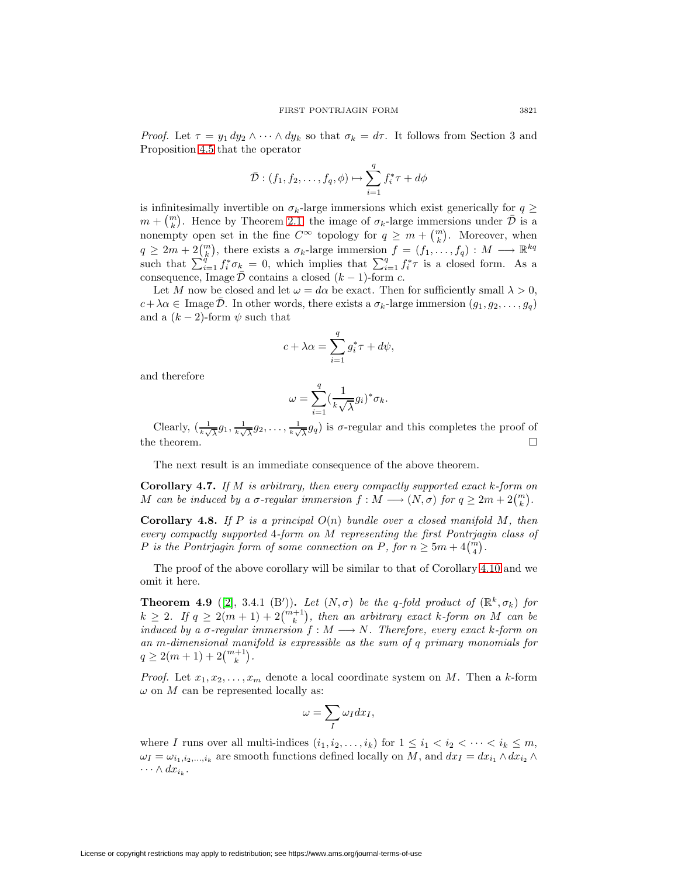*Proof.* Let  $\tau = y_1 dy_2 \wedge \cdots \wedge dy_k$  so that  $\sigma_k = d\tau$ . It follows from Section 3 and Proposition [4.5](#page-7-0) that the operator

$$
\bar{\mathcal{D}}: (f_1, f_2, \dots, f_q, \phi) \mapsto \sum_{i=1}^q f_i^* \tau + d\phi
$$

is infinitesimally invertible on  $\sigma_k$ -large immersions which exist generically for  $q \geq$  $m + \binom{m}{k}$ . Hence by Theorem [2.1,](#page-2-0) the image of  $\sigma_k$ -large immersions under  $\bar{\mathcal{D}}$  is a nonempty open set in the fine  $C^{\infty}$  topology for  $q \geq m + {m \choose k}$ . Moreover, when  $q \geq 2m + 2\binom{m}{k}$ , there exists a  $\sigma_k$ -large immersion  $f = (f_1, \ldots, f_q) : M \longrightarrow \mathbb{R}^{kq}$ such that  $\sum_{i=1}^{q} f_i^* \sigma_k = 0$ , which implies that  $\sum_{i=1}^{q} f_i^* \tau$  is a closed form. As a consequence, Image  $\bar{\mathcal{D}}$  contains a closed  $(k-1)$ -form c.

Let M now be closed and let  $\omega = d\alpha$  be exact. Then for sufficiently small  $\lambda > 0$ ,  $c+\lambda\alpha \in \text{Image }\overline{\mathcal{D}}.$  In other words, there exists a  $\sigma_k$ -large immersion  $(g_1, g_2, \ldots, g_q)$ and a  $(k-2)$ -form  $\psi$  such that

$$
c + \lambda \alpha = \sum_{i=1}^{q} g_i^* \tau + d\psi,
$$

and therefore

$$
\omega = \sum_{i=1}^q \left(\frac{1}{k\sqrt{\lambda}}g_i\right)^* \sigma_k.
$$

Clearly,  $\left(\frac{1}{k\sqrt{\lambda}}g_1, \frac{1}{k\sqrt{\lambda}}g_2, \ldots, \frac{1}{k\sqrt{\lambda}}g_q\right)$  is  $\sigma$ -regular and this completes the proof of the theorem.  $\hfill \square$ 

The next result is an immediate consequence of the above theorem.

**Corollary 4.7.** If M is arbitrary, then every compactly supported exact k-form on M can be induced by a  $\sigma$ -regular immersion  $f : M \longrightarrow (N, \sigma)$  for  $q \geq 2m + 2{m \choose k}$ .

<span id="page-8-1"></span>**Corollary 4.8.** If P is a principal  $O(n)$  bundle over a closed manifold M, then every compactly supported 4-form on M representing the first Pontrjagin class of P is the Pontrjagin form of some connection on P, for  $n \geq 5m + 4{m \choose 4}$ .

<span id="page-8-0"></span>The proof of the above corollary will be similar to that of Corollary [4.10](#page-10-0) and we omit it here.

**Theorem 4.9** ([\[2\]](#page-11-1), 3.4.1 (B')). Let  $(N, \sigma)$  be the q-fold product of  $(\mathbb{R}^k, \sigma_k)$  for  $k \geq 2$ . If  $q \geq 2(m+1) + 2{m+1 \choose k}$ , then an arbitrary exact k-form on M can be induced by a  $\sigma$ -regular immersion  $f : M \longrightarrow N$ . Therefore, every exact k-form on an m-dimensional manifold is expressible as the sum of q primary monomials for  $q \geq 2(m+1) + 2{m+1 \choose k}.$ 

*Proof.* Let  $x_1, x_2, \ldots, x_m$  denote a local coordinate system on M. Then a k-form  $\omega$  on  $M$  can be represented locally as:

$$
\omega=\sum_I\omega_I dx_I,
$$

where I runs over all multi-indices  $(i_1, i_2, \ldots, i_k)$  for  $1 \leq i_1 < i_2 < \cdots < i_k \leq m$ ,  $\omega_I = \omega_{i_1,i_2,...,i_k}$  are smooth functions defined locally on M, and  $dx_I = dx_{i_1} \wedge dx_{i_2} \wedge dx_{i_3}$  $\cdots \wedge dx_{i_k}$ .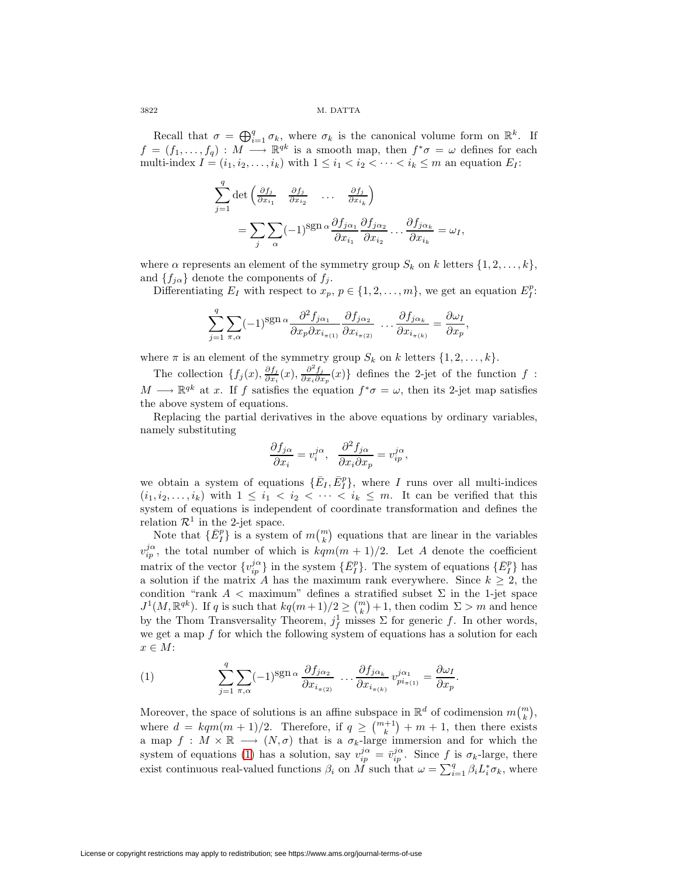Recall that  $\sigma = \bigoplus_{i=1}^q \sigma_k$ , where  $\sigma_k$  is the canonical volume form on  $\mathbb{R}^k$ . If  $f = (f_1,\ldots,f_q) : M \longrightarrow \mathbb{R}^{qk}$  is a smooth map, then  $f^*\sigma = \omega$  defines for each multi-index  $I = (i_1, i_2, \ldots, i_k)$  with  $1 \leq i_1 < i_2 < \cdots < i_k \leq m$  an equation  $E_I$ :

$$
\sum_{j=1}^{q} \det \left( \frac{\partial f_j}{\partial x_{i_1}} \quad \frac{\partial f_j}{\partial x_{i_2}} \quad \dots \quad \frac{\partial f_j}{\partial x_{i_k}} \right)
$$
  
= 
$$
\sum_{j} \sum_{\alpha} (-1)^{\text{sgn}\,\alpha} \frac{\partial f_{j\alpha_1}}{\partial x_{i_1}} \frac{\partial f_{j\alpha_2}}{\partial x_{i_2}} \dots \frac{\partial f_{j\alpha_k}}{\partial x_{i_k}} = \omega_I,
$$

where  $\alpha$  represents an element of the symmetry group  $S_k$  on k letters  $\{1, 2, \ldots, k\}$ , and  $\{f_{j\alpha}\}\$  denote the components of  $f_j$ .

Differentiating  $E_I$  with respect to  $x_p, p \in \{1, 2, ..., m\}$ , we get an equation  $E_I^p$ :

$$
\sum_{j=1}^{q} \sum_{\pi,\alpha} (-1)^{\text{sgn}\,\alpha} \frac{\partial^2 f_{j\alpha_1}}{\partial x_p \partial x_{i_{\pi(1)}}} \frac{\partial f_{j\alpha_2}}{\partial x_{i_{\pi(2)}}} \dots \frac{\partial f_{j\alpha_k}}{\partial x_{i_{\pi(k)}}} = \frac{\partial \omega_I}{\partial x_p},
$$

where  $\pi$  is an element of the symmetry group  $S_k$  on k letters  $\{1, 2, \ldots, k\}$ .

The collection  $\{f_j(x), \frac{\partial f_j}{\partial x_i}(x), \frac{\partial^2 f_j}{\partial x_i \partial x_p}(x)\}\$  defines the 2-jet of the function f:  $M \longrightarrow \mathbb{R}^{qk}$  at x. If f satisfies the equation  $f^*\sigma = \omega$ , then its 2-jet map satisfies the above system of equations.

Replacing the partial derivatives in the above equations by ordinary variables, namely substituting

$$
\frac{\partial f_{j\alpha}}{\partial x_i} = v_i^{j\alpha}, \quad \frac{\partial^2 f_{j\alpha}}{\partial x_i \partial x_p} = v_{ip}^{j\alpha},
$$

we obtain a system of equations  $\{\bar{E}_I, \bar{E}_I^p\}$ , where I runs over all multi-indices  $(i_1, i_2,...,i_k)$  with  $1 \leq i_1 < i_2 < \cdots < i_k \leq m$ . It can be verified that this system of equations is independent of coordinate transformation and defines the relation  $\mathcal{R}^1$  in the 2-jet space.

Note that  $\{\bar{E}_I^p\}$  is a system of  $m\binom{m}{k}$  equations that are linear in the variables  $v_{ip}^{j\alpha}$ , the total number of which is  $kqm(m+1)/2$ . Let A denote the coefficient matrix of the vector  $\{v_{ip}^{j\alpha}\}\$  in the system  $\{\bar{E}_I^p\}$ . The system of equations  $\{\bar{E}_I^p\}$  has a solution if the matrix A has the maximum rank everywhere. Since  $k \geq 2$ , the condition "rank  $A <$  maximum" defines a stratified subset  $\Sigma$  in the 1-jet space  $J^1(M, \mathbb{R}^{qk})$ . If q is such that  $kq(m+1)/2 \geq {m \choose k}+1$ , then codim  $\Sigma > m$  and hence by the Thom Transversality Theorem,  $j_f^1$  misses  $\Sigma$  for generic f. In other words, we get a map  $f$  for which the following system of equations has a solution for each  $x \in M$ :

<span id="page-9-0"></span>(1) 
$$
\sum_{j=1}^{q} \sum_{\pi,\alpha} (-1)^{\operatorname{sgn} \alpha} \frac{\partial f_{j\alpha_2}}{\partial x_{i_{\pi(2)}}} \dots \frac{\partial f_{j\alpha_k}}{\partial x_{i_{\pi(k)}}} v_{pi_{\pi(1)}}^{j\alpha_1} = \frac{\partial \omega_I}{\partial x_p}.
$$

Moreover, the space of solutions is an affine subspace in  $\mathbb{R}^d$  of codimension  $m\binom{m}{k}$ , where  $d = kqm(m + 1)/2$ . Therefore, if  $q \geq {m+1 \choose k} + m + 1$ , then there exists a map  $f: M \times \mathbb{R} \longrightarrow (N, \sigma)$  that is a  $\sigma_k$ -large immersion and for which the system of equations [\(1\)](#page-9-0) has a solution, say  $v_{ip}^{j\alpha} = \bar{v}_{ip}^{j\alpha}$ . Since f is  $\sigma_k$ -large, there exist continuous real-valued functions  $\beta_i$  on  $\overrightarrow{M}$  such that  $\omega = \sum_{i=1}^q \beta_i L_i^* \sigma_k$ , where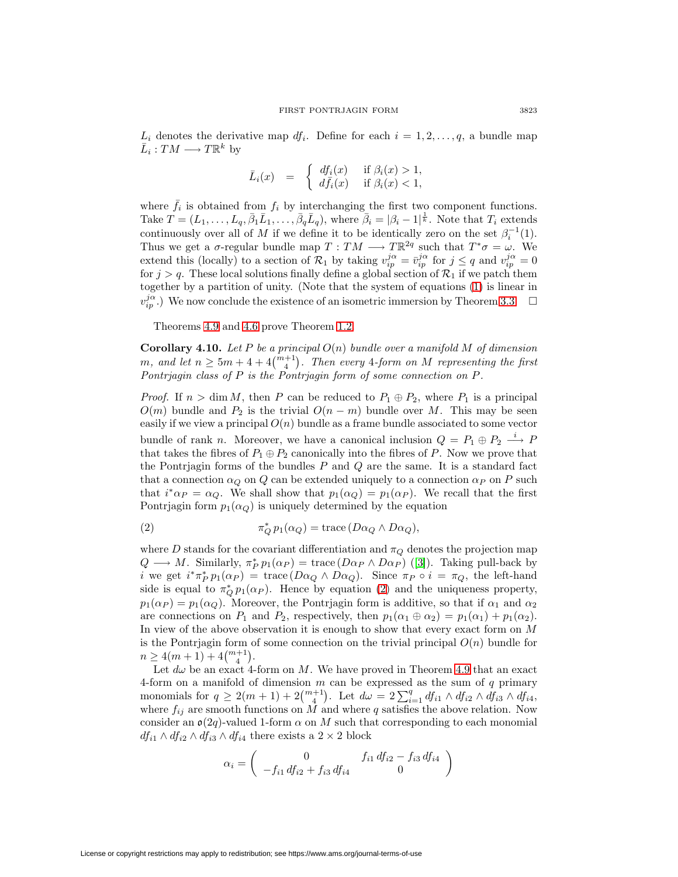$L_i$  denotes the derivative map  $df_i$ . Define for each  $i = 1, 2, \ldots, q$ , a bundle map  $\bar{L}_i : TM \longrightarrow T\mathbb{R}^k$  by

$$
\bar{L}_i(x) = \begin{cases} df_i(x) & \text{if } \beta_i(x) > 1, \\ d\bar{f}_i(x) & \text{if } \beta_i(x) < 1, \end{cases}
$$

where  $\bar{f}_i$  is obtained from  $f_i$  by interchanging the first two component functions. Take  $T=(L_1,\ldots,L_q,\bar{\beta}_1\bar{L}_1,\ldots,\bar{\beta}_q\bar{L}_q)$ , where  $\bar{\beta}_i=|\beta_i-1|^{\frac{1}{k}}$ . Note that  $T_i$  extends continuously over all of M if we define it to be identically zero on the set  $\beta_i^{-1}(1)$ . Thus we get a  $\sigma$ -regular bundle map  $T: TM \longrightarrow T\mathbb{R}^{2q}$  such that  $T^*\sigma = \omega$ . We extend this (locally) to a section of  $\mathcal{R}_1$  by taking  $v_{ip}^{j\alpha} = \bar{v}_{ip}^{j\alpha}$  for  $j \leq q$  and  $v_{ip}^{j\alpha} = 0$ for  $j>q$ . These local solutions finally define a global section of  $\mathcal{R}_1$  if we patch them together by a partition of unity. (Note that the system of equations [\(1\)](#page-9-0) is linear in  $v_{ip}^{j\alpha}$ .) We now conclude the existence of an isometric immersion by Theorem [3.3.](#page-4-1)  $\Box$ 

Theorems [4.9](#page-8-0) and [4.6](#page-7-1) prove Theorem [1.2.](#page-0-0)

<span id="page-10-0"></span>**Corollary 4.10.** Let P be a principal  $O(n)$  bundle over a manifold M of dimension m, and let  $n \geq 5m + 4 + 4{m+1 \choose 4}$ . Then every 4-form on M representing the first Pontrjagin class of  $P$  is the Pontrjagin form of some connection on  $P$ .

*Proof.* If  $n > \dim M$ , then P can be reduced to  $P_1 \oplus P_2$ , where  $P_1$  is a principal  $O(m)$  bundle and  $P_2$  is the trivial  $O(n - m)$  bundle over M. This may be seen easily if we view a principal  $O(n)$  bundle as a frame bundle associated to some vector bundle of rank *n*. Moreover, we have a canonical inclusion  $Q = P_1 \oplus P_2 \stackrel{i}{\longrightarrow} P_1$ that takes the fibres of  $P_1 \oplus P_2$  canonically into the fibres of P. Now we prove that the Pontrjagin forms of the bundles  $P$  and  $Q$  are the same. It is a standard fact that a connection  $\alpha_Q$  on Q can be extended uniquely to a connection  $\alpha_P$  on P such that  $i^*\alpha_P = \alpha_Q$ . We shall show that  $p_1(\alpha_Q) = p_1(\alpha_P)$ . We recall that the first Pontrjagin form  $p_1(\alpha_Q)$  is uniquely determined by the equation

<span id="page-10-1"></span>(2) 
$$
\pi_Q^* p_1(\alpha_Q) = \text{trace}(D\alpha_Q \wedge D\alpha_Q),
$$

where D stands for the covariant differentiation and  $\pi_Q$  denotes the projection map  $Q \longrightarrow M$ . Similarly,  $\pi_P^* p_1(\alpha_P) = \text{trace}(D\alpha_P \wedge D\alpha_P)$  ([\[3\]](#page-11-2)). Taking pull-back by *i* we get  $i^*\pi_P^*p_1(\alpha_P) = \text{trace}(D\alpha_Q \wedge D\alpha_Q)$ . Since  $\pi_P \circ i = \pi_Q$ , the left-hand side is equal to  $\pi_Q^* p_1(\alpha_P)$ . Hence by equation [\(2\)](#page-10-1) and the uniqueness property,  $p_1(\alpha_P) = p_1(\alpha_Q)$ . Moreover, the Pontrjagin form is additive, so that if  $\alpha_1$  and  $\alpha_2$ are connections on  $P_1$  and  $P_2$ , respectively, then  $p_1(\alpha_1 \oplus \alpha_2) = p_1(\alpha_1) + p_1(\alpha_2)$ . In view of the above observation it is enough to show that every exact form on M is the Pontriagin form of some connection on the trivial principal  $O(n)$  bundle for  $n \geq 4(m+1) + 4{m+1 \choose 4}.$ 

Let  $d\omega$  be an exact 4-form on M. We have proved in Theorem [4.9](#page-8-0) that an exact 4-form on a manifold of dimension  $m$  can be expressed as the sum of  $q$  primary monomials for  $q \geq 2(m+1) + 2{m+1 \choose 4}$ . Let  $d\omega = 2\sum_{i=1}^{q} df_{i1} \wedge df_{i2} \wedge df_{i3} \wedge df_{i4}$ , where  $f_{ij}$  are smooth functions on  $\overline{M}$  and where q satisfies the above relation. Now consider an  $\mathfrak{o}(2q)$ -valued 1-form  $\alpha$  on M such that corresponding to each monomial  $df_{i1} \wedge df_{i2} \wedge df_{i3} \wedge df_{i4}$  there exists a  $2 \times 2$  block

$$
\alpha_i = \begin{pmatrix} 0 & f_{i1} \, df_{i2} - f_{i3} \, df_{i4} \\ -f_{i1} \, df_{i2} + f_{i3} \, df_{i4} & 0 \end{pmatrix}
$$